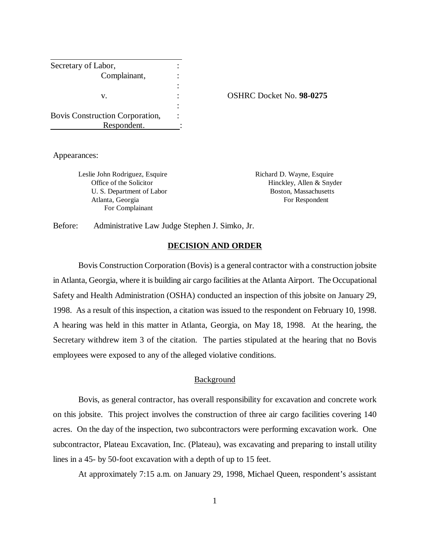| Secretary of Labor,             |  |
|---------------------------------|--|
| Complainant,                    |  |
|                                 |  |
| V.                              |  |
|                                 |  |
| Bovis Construction Corporation, |  |
| Respondent.                     |  |

v. : OSHRC Docket No. **98-0275**

Appearances:

Leslie John Rodriguez, Esquire **Richard D. Wayne, Esquire** Richard D. Wayne, Esquire Atlanta, Georgia **For Respondent** For Respondent For Complainant

Office of the Solicitor **Hinckley**, Allen & Snyder U. S. Department of Labor Boston, Massachusetts

Before: Administrative Law Judge Stephen J. Simko, Jr.

#### **DECISION AND ORDER**

Bovis Construction Corporation (Bovis) is a general contractor with a construction jobsite in Atlanta, Georgia, where it is building air cargo facilities at the Atlanta Airport. The Occupational Safety and Health Administration (OSHA) conducted an inspection of this jobsite on January 29, 1998. As a result of this inspection, a citation was issued to the respondent on February 10, 1998. A hearing was held in this matter in Atlanta, Georgia, on May 18, 1998. At the hearing, the Secretary withdrew item 3 of the citation. The parties stipulated at the hearing that no Bovis employees were exposed to any of the alleged violative conditions.

#### Background

Bovis, as general contractor, has overall responsibility for excavation and concrete work on this jobsite. This project involves the construction of three air cargo facilities covering 140 acres. On the day of the inspection, two subcontractors were performing excavation work. One subcontractor, Plateau Excavation, Inc. (Plateau), was excavating and preparing to install utility lines in a 45- by 50-foot excavation with a depth of up to 15 feet.

At approximately 7:15 a.m. on January 29, 1998, Michael Queen, respondent's assistant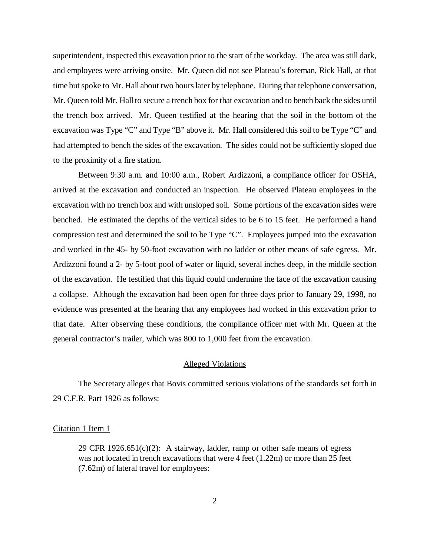superintendent, inspected this excavation prior to the start of the workday. The area was still dark, and employees were arriving onsite. Mr. Queen did not see Plateau's foreman, Rick Hall, at that time but spoke to Mr. Hall about two hours later by telephone. During that telephone conversation, Mr. Queen told Mr. Hall to secure a trench box for that excavation and to bench back the sides until the trench box arrived. Mr. Queen testified at the hearing that the soil in the bottom of the excavation was Type "C" and Type "B" above it. Mr. Hall considered this soil to be Type "C" and had attempted to bench the sides of the excavation. The sides could not be sufficiently sloped due to the proximity of a fire station.

Between 9:30 a.m. and 10:00 a.m., Robert Ardizzoni, a compliance officer for OSHA, arrived at the excavation and conducted an inspection. He observed Plateau employees in the excavation with no trench box and with unsloped soil. Some portions of the excavation sides were benched. He estimated the depths of the vertical sides to be 6 to 15 feet. He performed a hand compression test and determined the soil to be Type "C". Employees jumped into the excavation and worked in the 45- by 50-foot excavation with no ladder or other means of safe egress. Mr. Ardizzoni found a 2- by 5-foot pool of water or liquid, several inches deep, in the middle section of the excavation. He testified that this liquid could undermine the face of the excavation causing a collapse. Although the excavation had been open for three days prior to January 29, 1998, no evidence was presented at the hearing that any employees had worked in this excavation prior to that date. After observing these conditions, the compliance officer met with Mr. Queen at the general contractor's trailer, which was 800 to 1,000 feet from the excavation.

## Alleged Violations

The Secretary alleges that Bovis committed serious violations of the standards set forth in 29 C.F.R. Part 1926 as follows:

### Citation 1 Item 1

29 CFR  $1926.651(c)(2)$ : A stairway, ladder, ramp or other safe means of egress was not located in trench excavations that were 4 feet (1.22m) or more than 25 feet (7.62m) of lateral travel for employees: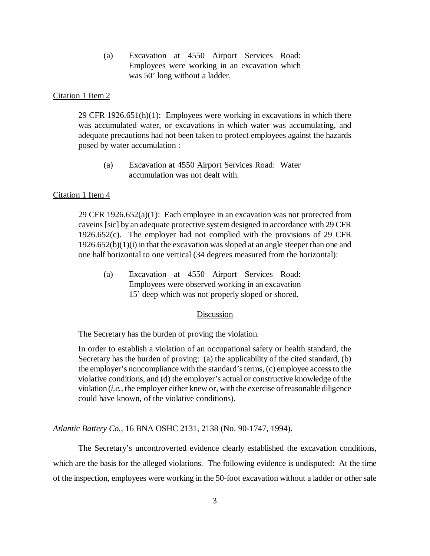(a) Excavation at 4550 Airport Services Road: Employees were working in an excavation which was 50' long without a ladder.

### Citation 1 Item 2

29 CFR 1926.651(h)(1): Employees were working in excavations in which there was accumulated water, or excavations in which water was accumulating, and adequate precautions had not been taken to protect employees against the hazards posed by water accumulation :

(a) Excavation at 4550 Airport Services Road: Water accumulation was not dealt with.

# Citation 1 Item 4

29 CFR  $1926.652(a)(1)$ : Each employee in an excavation was not protected from caveins [sic] by an adequate protective system designed in accordance with 29 CFR 1926.652(c). The employer had not complied with the provisions of 29 CFR  $1926.652(b)(1)(i)$  in that the excavation was sloped at an angle steeper than one and one half horizontal to one vertical (34 degrees measured from the horizontal):

(a) Excavation at 4550 Airport Services Road: Employees were observed working in an excavation 15' deep which was not properly sloped or shored.

## Discussion

The Secretary has the burden of proving the violation.

In order to establish a violation of an occupational safety or health standard, the Secretary has the burden of proving: (a) the applicability of the cited standard, (b) the employer's noncompliance with the standard's terms, (c) employee access to the violative conditions, and (d) the employer's actual or constructive knowledge of the violation (*i.e.,* the employer either knew or, with the exercise of reasonable diligence could have known, of the violative conditions).

*Atlantic Battery Co.*, 16 BNA OSHC 2131, 2138 (No. 90-1747, 1994).

The Secretary's uncontroverted evidence clearly established the excavation conditions, which are the basis for the alleged violations. The following evidence is undisputed: At the time of the inspection, employees were working in the 50-foot excavation without a ladder or other safe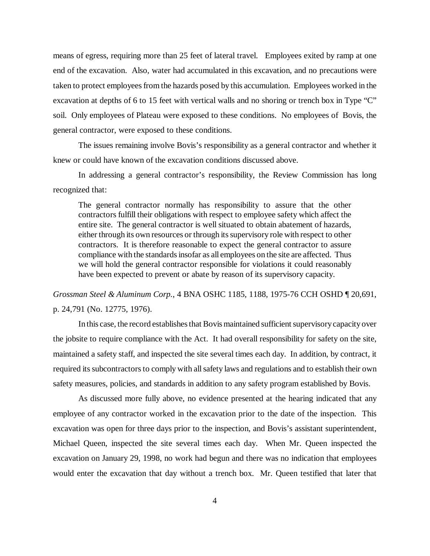means of egress, requiring more than 25 feet of lateral travel. Employees exited by ramp at one end of the excavation. Also, water had accumulated in this excavation, and no precautions were taken to protect employees from the hazards posed by this accumulation. Employees worked in the excavation at depths of 6 to 15 feet with vertical walls and no shoring or trench box in Type "C" soil. Only employees of Plateau were exposed to these conditions. No employees of Bovis, the general contractor, were exposed to these conditions.

The issues remaining involve Bovis's responsibility as a general contractor and whether it knew or could have known of the excavation conditions discussed above.

In addressing a general contractor's responsibility, the Review Commission has long recognized that:

The general contractor normally has responsibility to assure that the other contractors fulfill their obligations with respect to employee safety which affect the entire site. The general contractor is well situated to obtain abatement of hazards, either through its own resources or through its supervisory role with respect to other contractors. It is therefore reasonable to expect the general contractor to assure compliance with the standards insofar as all employees on the site are affected. Thus we will hold the general contractor responsible for violations it could reasonably have been expected to prevent or abate by reason of its supervisory capacity.

*Grossman Steel & Aluminum Corp.*, 4 BNA OSHC 1185, 1188, 1975-76 CCH OSHD ¶ 20,691, p. 24,791 (No. 12775, 1976).

In this case, the record establishes that Bovis maintained sufficient supervisory capacity over the jobsite to require compliance with the Act. It had overall responsibility for safety on the site, maintained a safety staff, and inspected the site several times each day. In addition, by contract, it required its subcontractors to comply with all safety laws and regulations and to establish their own safety measures, policies, and standards in addition to any safety program established by Bovis.

As discussed more fully above, no evidence presented at the hearing indicated that any employee of any contractor worked in the excavation prior to the date of the inspection. This excavation was open for three days prior to the inspection, and Bovis's assistant superintendent, Michael Queen, inspected the site several times each day. When Mr. Queen inspected the excavation on January 29, 1998, no work had begun and there was no indication that employees would enter the excavation that day without a trench box. Mr. Queen testified that later that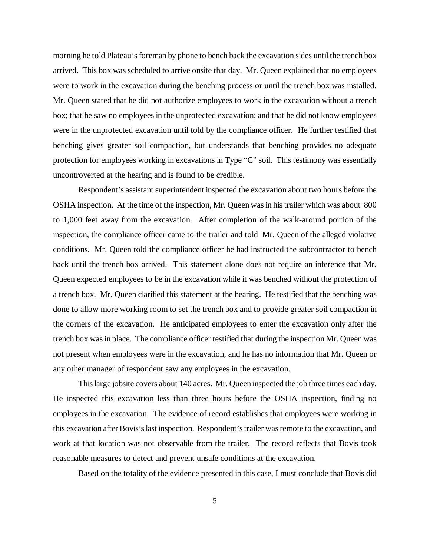morning he told Plateau's foreman by phone to bench back the excavation sides until the trench box arrived. This box was scheduled to arrive onsite that day. Mr. Queen explained that no employees were to work in the excavation during the benching process or until the trench box was installed. Mr. Queen stated that he did not authorize employees to work in the excavation without a trench box; that he saw no employees in the unprotected excavation; and that he did not know employees were in the unprotected excavation until told by the compliance officer. He further testified that benching gives greater soil compaction, but understands that benching provides no adequate protection for employees working in excavations in Type "C" soil. This testimony was essentially uncontroverted at the hearing and is found to be credible.

Respondent's assistant superintendent inspected the excavation about two hours before the OSHA inspection. At the time of the inspection, Mr. Queen was in his trailer which was about 800 to 1,000 feet away from the excavation. After completion of the walk-around portion of the inspection, the compliance officer came to the trailer and told Mr. Queen of the alleged violative conditions. Mr. Queen told the compliance officer he had instructed the subcontractor to bench back until the trench box arrived. This statement alone does not require an inference that Mr. Queen expected employees to be in the excavation while it was benched without the protection of a trench box. Mr. Queen clarified this statement at the hearing. He testified that the benching was done to allow more working room to set the trench box and to provide greater soil compaction in the corners of the excavation. He anticipated employees to enter the excavation only after the trench box was in place. The compliance officer testified that during the inspection Mr. Queen was not present when employees were in the excavation, and he has no information that Mr. Queen or any other manager of respondent saw any employees in the excavation.

This large jobsite covers about 140 acres. Mr. Queen inspected the job three times each day. He inspected this excavation less than three hours before the OSHA inspection, finding no employees in the excavation. The evidence of record establishes that employees were working in this excavation after Bovis's last inspection. Respondent's trailer was remote to the excavation, and work at that location was not observable from the trailer. The record reflects that Bovis took reasonable measures to detect and prevent unsafe conditions at the excavation.

Based on the totality of the evidence presented in this case, I must conclude that Bovis did